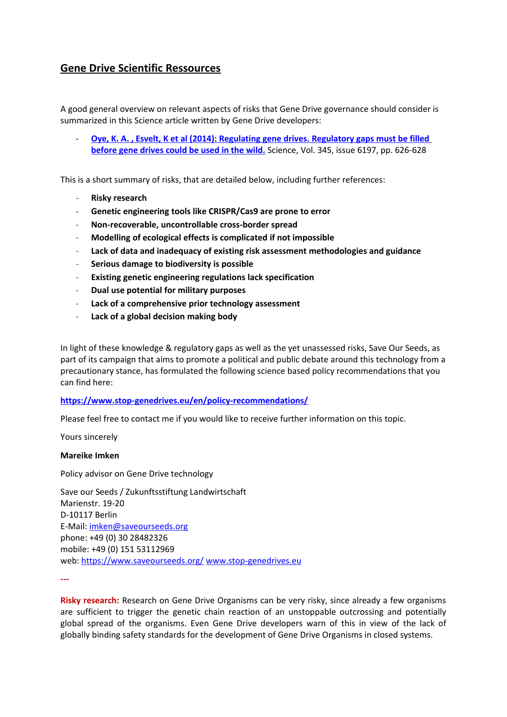## **Gene Drive Scientific Ressources**

A good general overview on relevant aspects of risks that Gene Drive governance should consider is summarized in this Science article written by Gene Drive developers:

- **[Oye, K. A. , Esvelt, K et al \(2014\): Regulating gene drives. Regulatory gaps must be filled](https://science.sciencemag.org/content/345/6197/626/tab-pdf)  [before gene drives could be used in the wild.](https://science.sciencemag.org/content/345/6197/626/tab-pdf)** Science, Vol. 345, issue 6197, pp. 626-628

This is a short summary of risks, that are detailed below, including further references:

- **Risky research**
- **Genetic engineering tools like CRISPR/Cas9 are prone to error**
- **Non-recoverable, uncontrollable cross-border spread**
- **Modelling of ecological effects is complicated if not impossible**
- **Lack of data and inadequacy of existing risk assessment methodologies and guidance**
- **Serious damage to biodiversity is possible**
- **Existing genetic engineering regulations lack specification**
- **Dual use potential for military purposes**
- Lack of a comprehensive prior technology assessment
- **Lack of a global decision making body**

In light of these knowledge & regulatory gaps as well as the yet unassessed risks, Save Our Seeds, as part of its campaign that aims to promote a political and public debate around this technology from a precautionary stance, has formulated the following science based policy recommendations that you can find here:

## **<https://www.stop-genedrives.eu/en/policy-recommendations/>**

Please feel free to contact me if you would like to receive further information on this topic.

Yours sincerely

## **Mareike Imken**

Policy advisor on Gene Drive technology

Save our Seeds / Zukunftsstiftung Landwirtschaft Marienstr. 19-20 D-10117 Berlin E-Mail: [imken@saveourseeds.org](mailto:imken@saveourseeds.org) phone: +49 (0) 30 28482326 mobile: +49 (0) 151 53112969 web:<https://www.saveourseeds.org/> [www.stop-genedrives.eu](http://www.stop-genedrives.eu/)

**---**

**Risky research:** Research on Gene Drive Organisms can be very risky, since already a few organisms are sufficient to trigger the genetic chain reaction of an unstoppable outcrossing and potentially global spread of the organisms. Even Gene Drive developers warn of this in view of the lack of globally binding safety standards for the development of Gene Drive Organisms in closed systems.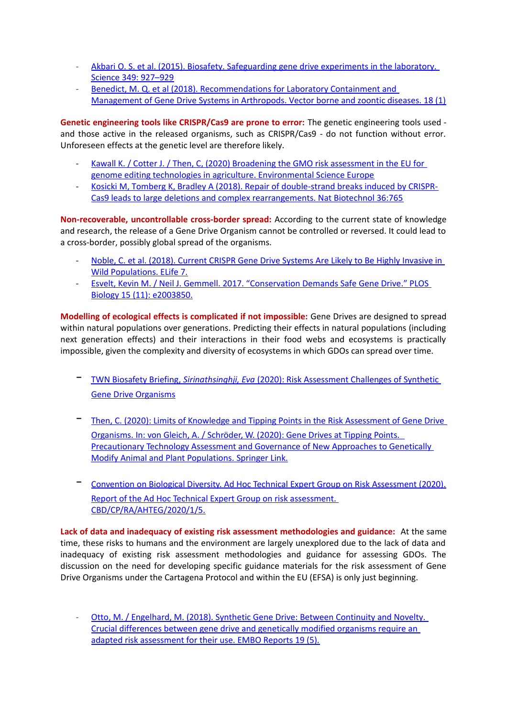- Akbari O. S. et al. (2015). Biosafety. Safeguarding gene drive experiments in the laboratory.  [Science 349: 927–929](https://www.ncbi.nlm.nih.gov/pmc/articles/PMC4692367/)
- [Benedict, M. Q. et al \(2018\). Recommendations for Laboratory Containment and](https://www.ncbi.nlm.nih.gov/pmc/articles/PMC5846571/)  [Management of Gene Drive Systems in Arthropods. Vector borne and zoontic diseases. 18 \(1\)](https://www.ncbi.nlm.nih.gov/pmc/articles/PMC5846571/)

**Genetic engineering tools like CRISPR/Cas9 are prone to error:** The genetic engineering tools used and those active in the released organisms, such as CRISPR/Cas9 - do not function without error. Unforeseen effects at the genetic level are therefore likely.

- Kawall K. / Cotter J. / Then, C, (2020) Broadening the GMO risk assessment in the EU for [genome editing technologies in agriculture. Environmental Science Europe](https://www.researchgate.net/publication/343595505_Broadening_the_GMO_risk_assessment_in_the_EU_for_genome_editing_technologies_in_agriculture)
- [Kosicki M, Tomberg K, Bradley A \(2018\). Repair of double-strand breaks induced by CRISPR-](https://pubmed.ncbi.nlm.nih.gov/30010673/)[Cas9 leads to large deletions and complex rearrangements. Nat Biotechnol 36:765](https://pubmed.ncbi.nlm.nih.gov/30010673/)

**Non-recoverable, uncontrollable cross-border spread:** According to the current state of knowledge and research, the release of a Gene Drive Organism cannot be controlled or reversed. It could lead to a cross-border, possibly global spread of the organisms.

- Noble, C. et al. (2018). Current CRISPR Gene Drive Systems Are Likely to Be Highly Invasive in [Wild Populations. ELife 7.](https://pubmed.ncbi.nlm.nih.gov/29916367/)
- [Esvelt, Kevin M. / Neil J. Gemmell. 2017. "Conservation Demands Safe Gene Drive." PLOS](https://doi.org/10.1371/journal.pbio.2003850)  [Biology 15 \(11\): e2003850.](https://doi.org/10.1371/journal.pbio.2003850)

**Modelling of ecological effects is complicated if not impossible:** Gene Drives are designed to spread within natural populations over generations. Predicting their effects in natural populations (including next generation effects) and their interactions in their food webs and ecosystems is practically impossible, given the complexity and diversity of ecosystems in which GDOs can spread over time.

- TWN Biosafety Briefing, *Sirinathsinghji, Eva* [\(2020\): Risk Assessment Challenges of Synthetic](https://biosafety-info.net/articles/assessment-impacts/risk-assessment/risk-assessment-challenges-of-synthetic-gene-drive-organisms/)  [Gene Drive Organisms](https://biosafety-info.net/articles/assessment-impacts/risk-assessment/risk-assessment-challenges-of-synthetic-gene-drive-organisms/)
- Then, C. (2020): Limits of Knowledge and Tipping Points in the Risk Assessment of Gene Drive Organisms. In: von Gleich, A. / Schröder, W. (2020): Gene Drives at Tipping Points. [Precautionary Technology Assessment and Governance of New Approaches to Genetically](https://link.springer.com/chapter/10.1007/978-3-030-38934-5_8)   [Modify Animal and Plant Populations. Springer Link.](https://link.springer.com/chapter/10.1007/978-3-030-38934-5_8)
- [Convention on Biological Diversity. Ad Hoc Technical Expert Group on Risk Assessment \(2020\).](https://www.cbd.int/doc/c/a763/e248/4fa326e03e3c126b9615e95d/cp-ra-ahteg-2020-01-05-en.pdf) [Report of the Ad Hoc Technical Expert Group on risk assessment.](https://www.cbd.int/doc/c/a763/e248/4fa326e03e3c126b9615e95d/cp-ra-ahteg-2020-01-05-en.pdf)  [CBD/CP/RA/AHTEG/2020/1/5.](https://www.cbd.int/doc/c/a763/e248/4fa326e03e3c126b9615e95d/cp-ra-ahteg-2020-01-05-en.pdf)

**Lack of data and inadequacy of existing risk assessment methodologies and guidance:** At the same time, these risks to humans and the environment are largely unexplored due to the lack of data and inadequacy of existing risk assessment methodologies and guidance for assessing GDOs. The discussion on the need for developing specific guidance materials for the risk assessment of Gene Drive Organisms under the Cartagena Protocol and within the EU (EFSA) is only just beginning.

- [Otto, M. / Engelhard, M. \(2018\). Synthetic Gene Drive: Between Continuity and Novelty.](https://www.embopress.org/doi/full/10.15252/embr.201845760)  [Crucial differences between gene drive and genetically modified organisms require an](https://www.embopress.org/doi/full/10.15252/embr.201845760)  [adapted risk assessment for their use. EMBO Reports 19 \(5\).](https://www.embopress.org/doi/full/10.15252/embr.201845760)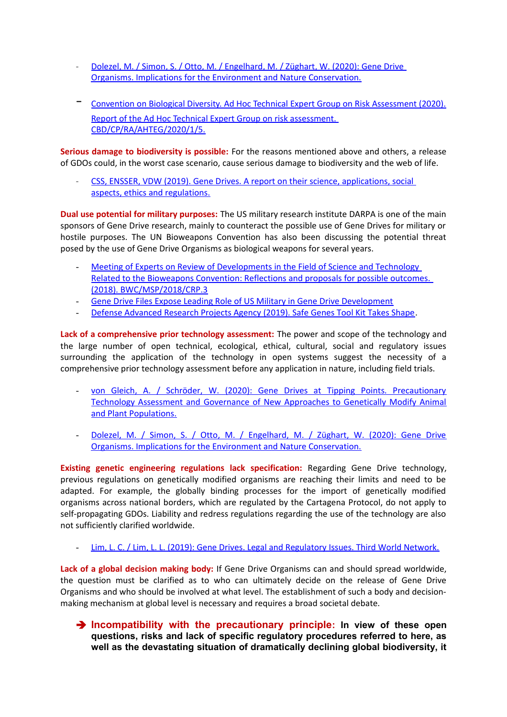- [Dolezel, M. / Simon, S. / Otto, M. / Engelhard, M. / Züghart, W. \(2020\): Gene Drive](https://www.umweltbundesamt.at/fileadmin/site/publikationen/REP0705.pdf)  Organisms. [Implications for the Environment and Nature Conservation.](https://www.umweltbundesamt.at/fileadmin/site/publikationen/REP0705.pdf)
- <sup>-</sup> [Convention on Biological Diversity. Ad Hoc Technical Expert Group on Risk Assessment \(2020\).](https://www.cbd.int/doc/c/a763/e248/4fa326e03e3c126b9615e95d/cp-ra-ahteg-2020-01-05-en.pdf) [Report of the Ad Hoc Technical Expert Group on risk assessment.](https://www.cbd.int/doc/c/a763/e248/4fa326e03e3c126b9615e95d/cp-ra-ahteg-2020-01-05-en.pdf)  [CBD/CP/RA/AHTEG/2020/1/5.](https://www.cbd.int/doc/c/a763/e248/4fa326e03e3c126b9615e95d/cp-ra-ahteg-2020-01-05-en.pdf)

**Serious damage to biodiversity is possible:** For the reasons mentioned above and others, a release of GDOs could, in the worst case scenario, cause serious damage to biodiversity and the web of life.

CSS, ENSSER, VDW (2019). Gene Drives. A report on their science, applications, social [aspects, ethics and regulations.](https://genedrives.ch/wp-content/uploads/2019/10/Gene-Drives-Book-WEB.pdf)

**Dual use potential for military purposes:** The US military research institute DARPA is one of the main sponsors of Gene Drive research, mainly to counteract the possible use of Gene Drives for military or hostile purposes. The UN Bioweapons Convention has also been discussing the potential threat posed by the use of Gene Drive Organisms as biological weapons for several years.

- [Meeting of Experts on Review of Developments in the Field of Science and Technology](https://www.unog.ch/80256EDD006B8954/(httpAssets)/327ACB8D34AFD3C8C12583930032B711/$file/CRP_3.pdf)  [Related to the Bioweapons Convention: Reflections and proposals for possible outcomes.](https://www.unog.ch/80256EDD006B8954/(httpAssets)/327ACB8D34AFD3C8C12583930032B711/$file/CRP_3.pdf)  [\(2018\). BWC/MSP/2018/CRP.3](https://www.unog.ch/80256EDD006B8954/(httpAssets)/327ACB8D34AFD3C8C12583930032B711/$file/CRP_3.pdf)
- [Gene Drive Files Expose Leading Role of US Military in Gene Drive Development](http://genedrivefiles.synbiowatch.org/2017/12/01/us-military-gene-drive-development/)
- [Defense Advanced Research Projects Agency \(2019\). Safe Genes Tool Kit Takes Shape.](https://www.darpa.mil/news-events/2019-10-15)

**Lack of a comprehensive prior technology assessment:** The power and scope of the technology and the large number of open technical, ecological, ethical, cultural, social and regulatory issues surrounding the application of the technology in open systems suggest the necessity of a comprehensive prior technology assessment before any application in nature, including field trials.

- [von Gleich, A. / Schröder, W. \(2020\): Gene Drives at Tipping Points. Precautionary](https://link.springer.com/book/10.1007/978-3-030-38934-5) [Technology Assessment and Governance of New Approaches to Genetically Modify Animal](https://link.springer.com/book/10.1007/978-3-030-38934-5) [and Plant Populations.](https://link.springer.com/book/10.1007/978-3-030-38934-5)
- [Dolezel, M. / Simon, S. / Otto, M. / Engelhard, M. / Züghart, W. \(2020\): Gene Drive](https://www.umweltbundesamt.at/fileadmin/site/publikationen/REP0705.pdf) Organisms. [Implications for the Environment and Nature Conservation.](https://www.umweltbundesamt.at/fileadmin/site/publikationen/REP0705.pdf)

**Existing genetic engineering regulations lack specification:** Regarding Gene Drive technology, previous regulations on genetically modified organisms are reaching their limits and need to be adapted. For example, the globally binding processes for the import of genetically modified organisms across national borders, which are regulated by the Cartagena Protocol, do not apply to self-propagating GDOs. Liability and redress regulations regarding the use of the technology are also not sufficiently clarified worldwide.

Lim, L. C. / Lim, L. L. (2019): Gene Drives. Legal and Regulatory Issues. Third World Network.

**Lack of a global decision making body:** If Gene Drive Organisms can and should spread worldwide, the question must be clarified as to who can ultimately decide on the release of Gene Drive Organisms and who should be involved at what level. The establishment of such a body and decisionmaking mechanism at global level is necessary and requires a broad societal debate.

 **Incompatibility with the precautionary principle: In view of these open questions, risks and lack of specific regulatory procedures referred to here, as well as the devastating situation of dramatically declining global biodiversity, it**